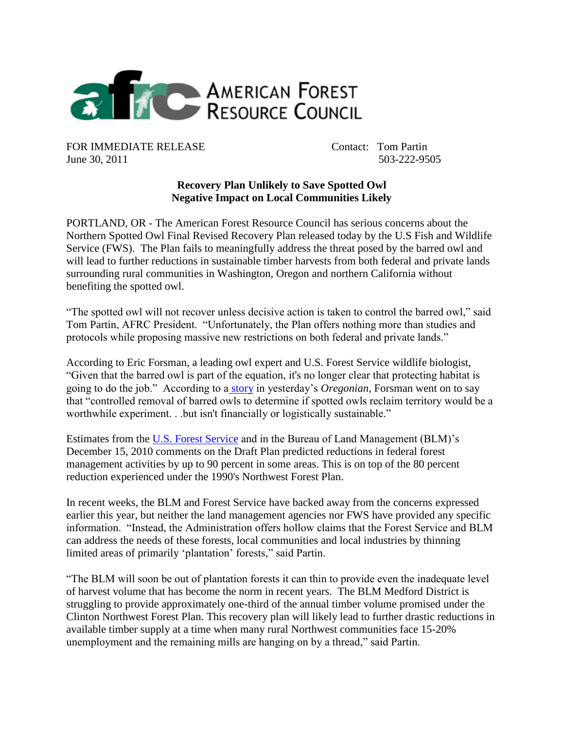

FOR IMMEDIATE RELEASE Contact: Tom Partin June 30, 2011 503-222-9505

## **Recovery Plan Unlikely to Save Spotted Owl Negative Impact on Local Communities Likely**

PORTLAND, OR - The American Forest Resource Council has serious concerns about the Northern Spotted Owl Final Revised Recovery Plan released today by the U.S Fish and Wildlife Service (FWS). The Plan fails to meaningfully address the threat posed by the barred owl and will lead to further reductions in sustainable timber harvests from both federal and private lands surrounding rural communities in Washington, Oregon and northern California without benefiting the spotted owl.

"The spotted owl will not recover unless decisive action is taken to control the barred owl," said Tom Partin, AFRC President. "Unfortunately, the Plan offers nothing more than studies and protocols while proposing massive new restrictions on both federal and private lands."

According to Eric Forsman, a leading owl expert and U.S. Forest Service wildlife biologist, "Given that the barred owl is part of the equation, it's no longer clear that protecting habitat is going to do the job." According to a [story](http://www.oregonlive.com/environment/index.ssf/2011/06/spotted_owl_recovery_plan_reco.html) in yesterday"s *Oregonian*, Forsman went on to say that "controlled removal of barred owls to determine if spotted owls reclaim territory would be a worthwhile experiment. . .but isn't financially or logistically sustainable."

Estimates from the [U.S. Forest Service](http://www.amforest.org/images/pdfs/DeFazio_Scrader_to_Salazar_03-14-11.pdf) and in the Bureau of Land Management (BLM)"s December 15, 2010 comments on the Draft Plan predicted reductions in federal forest management activities by up to 90 percent in some areas. This is on top of the 80 percent reduction experienced under the 1990's Northwest Forest Plan.

In recent weeks, the BLM and Forest Service have backed away from the concerns expressed earlier this year, but neither the land management agencies nor FWS have provided any specific information. "Instead, the Administration offers hollow claims that the Forest Service and BLM can address the needs of these forests, local communities and local industries by thinning limited areas of primarily "plantation" forests," said Partin.

"The BLM will soon be out of plantation forests it can thin to provide even the inadequate level of harvest volume that has become the norm in recent years. The BLM Medford District is struggling to provide approximately one-third of the annual timber volume promised under the Clinton Northwest Forest Plan. This recovery plan will likely lead to further drastic reductions in available timber supply at a time when many rural Northwest communities face 15-20% unemployment and the remaining mills are hanging on by a thread," said Partin.